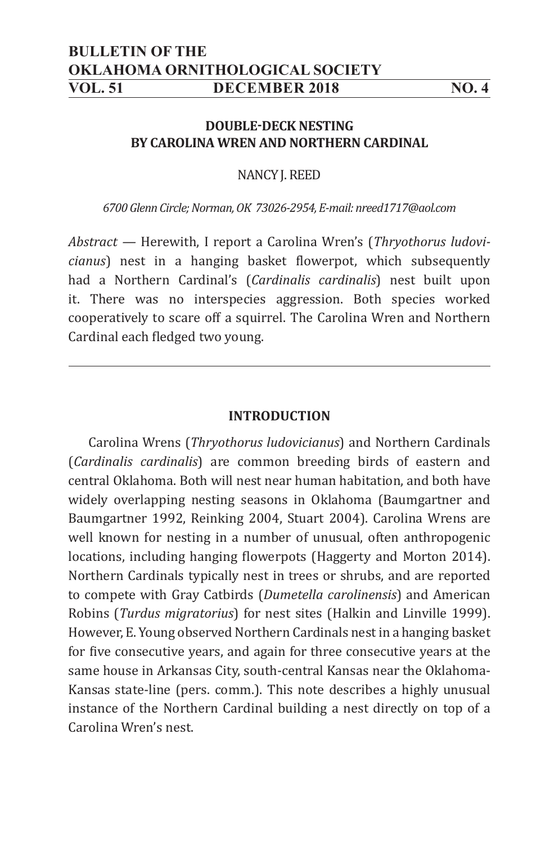# **BULLETIN OF THE OKLAHOMA ORNITHOLOGICAL SOCIETY VOL. 51 DECEMBER 2018 NO. 4**

## **DOUBLE-DECK NESTING BY CAROLINA WREN AND NORTHERN CARDINAL**

NANCY J. REED

*6700 Glenn Circle; Norman, OK 73026-2954, E-mail: nreed1717@aol.com*

*Abstract —* Herewith, I report a Carolina Wren's (*Thryothorus ludovicianus*) nest in a hanging basket flowerpot, which subsequently had a Northern Cardinal's (*Cardinalis cardinalis*) nest built upon it. There was no interspecies aggression. Both species worked cooperatively to scare off a squirrel. The Carolina Wren and Northern Cardinal each fledged two young.

### **INTRODUCTION**

Carolina Wrens (*Thryothorus ludovicianus*) and Northern Cardinals (*Cardinalis cardinalis*) are common breeding birds of eastern and central Oklahoma. Both will nest near human habitation, and both have widely overlapping nesting seasons in Oklahoma (Baumgartner and Baumgartner 1992, Reinking 2004, Stuart 2004). Carolina Wrens are well known for nesting in a number of unusual, often anthropogenic locations, including hanging flowerpots (Haggerty and Morton 2014). Northern Cardinals typically nest in trees or shrubs, and are reported to compete with Gray Catbirds (*Dumetella carolinensis*) and American Robins (*Turdus migratorius*) for nest sites (Halkin and Linville 1999). However, E. Young observed Northern Cardinals nest in a hanging basket for five consecutive years, and again for three consecutive years at the same house in Arkansas City, south-central Kansas near the Oklahoma-Kansas state-line (pers. comm.). This note describes a highly unusual instance of the Northern Cardinal building a nest directly on top of a Carolina Wren's nest.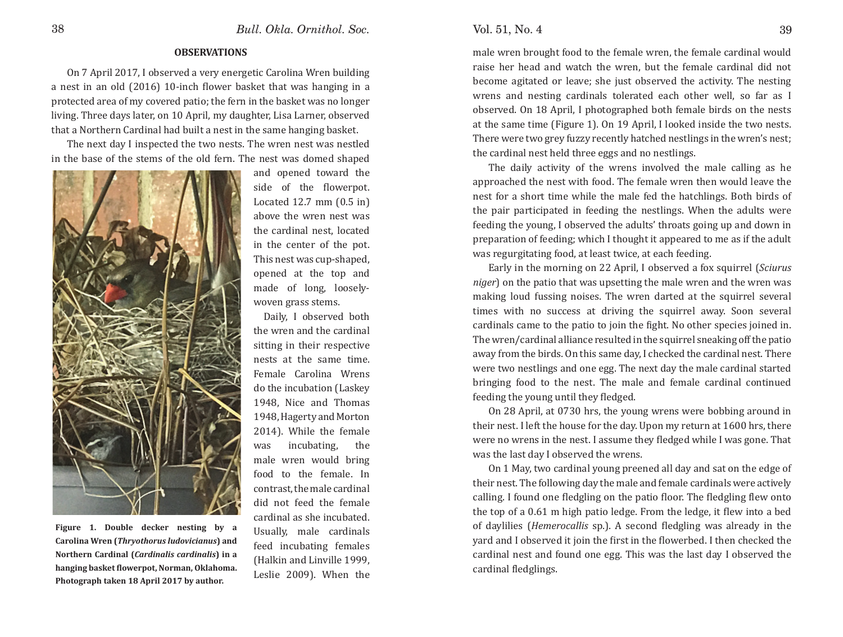### **OBSERVATIONS**

 On 7 April 2017, I observed a very energetic Carolina Wren building a nest in an old (2016) 10-inch flower basket that was hanging in a protected area of my covered patio; the fern in the basket was no longer living. Three days later, on 10 April, my daughter, Lisa Larner, observed that a Northern Cardinal had built a nest in the same hanging basket.

 The next day I inspected the two nests. The wren nest was nestled in the base of the stems of the old fern. The nest was domed shaped



**Figure 1. Double decker nesting by a Carolina Wren (***Thryothorus ludovicianus***) and Northern Cardinal (***Cardinalis cardinalis***) in a**  hanging basket flowerpot, Norman, Oklahoma. **Photograph taken 18 April 2017 by author.**

and opened toward the side of the flowerpot. Located 12.7 mm (0.5 in) above the wren nest was the cardinal nest, located in the center of the pot. This nest was cup-shaped, opened at the top and made of long, looselywoven grass stems.

 Daily, I observed both the wren and the cardinal sitting in their respective nests at the same time. Female Carolina Wrens do the incubation (Laskey 1948, Nice and Thomas 1948, Hagerty and Morton 2014). While the female was incubating, the male wren would bring food to the female. In contrast, the male cardinal did not feed the female cardinal as she incubated. Usually, male cardinals feed incubating females (Halkin and Linville 1999, Leslie 2009). When the

male wren brought food to the female wren, the female cardinal would raise her head and watch the wren, but the female cardinal did not become agitated or leave; she just observed the activity. The nesting wrens and nesting cardinals tolerated each other well, so far as I observed. On 18 April, I photographed both female birds on the nests at the same time (Figure 1). On 19 April, I looked inside the two nests. There were two grey fuzzy recently hatched nestlings in the wren's nest; the cardinal nest held three eggs and no nestlings.

 The daily activity of the wrens involved the male calling as he approached the nest with food. The female wren then would leave the nest for a short time while the male fed the hatchlings. Both birds of the pair participated in feeding the nestlings. When the adults were feeding the young, I observed the adults' throats going up and down in preparation of feeding; which I thought it appeared to me as if the adult was regurgitating food, at least twice, at each feeding.

 Early in the morning on 22 April, I observed a fox squirrel (*Sciurus niger*) on the patio that was upsetting the male wren and the wren was making loud fussing noises. The wren darted at the squirrel several times with no success at driving the squirrel away. Soon several cardinals came to the patio to join the fight. No other species joined in. The wren/cardinal alliance resulted in the squirrel sneaking off the patio away from the birds. On this same day, I checked the cardinal nest. There were two nestlings and one egg. The next day the male cardinal started bringing food to the nest. The male and female cardinal continued feeding the young until they fledged.

 On 28 April, at 0730 hrs, the young wrens were bobbing around in their nest. I left the house for the day. Upon my return at 1600 hrs, there were no wrens in the nest. I assume they fledged while I was gone. That was the last day I observed the wrens.

 On 1 May, two cardinal young preened all day and sat on the edge of their nest. The following day the male and female cardinals were actively calling. I found one fledgling on the patio floor. The fledgling flew onto the top of a 0.61 m high patio ledge. From the ledge, it flew into a bed of daylilies (*Hemerocallis* sp.). A second fledgling was already in the yard and I observed it join the first in the flowerbed. I then checked the cardinal nest and found one egg. This was the last day I observed the cardinal fledglings.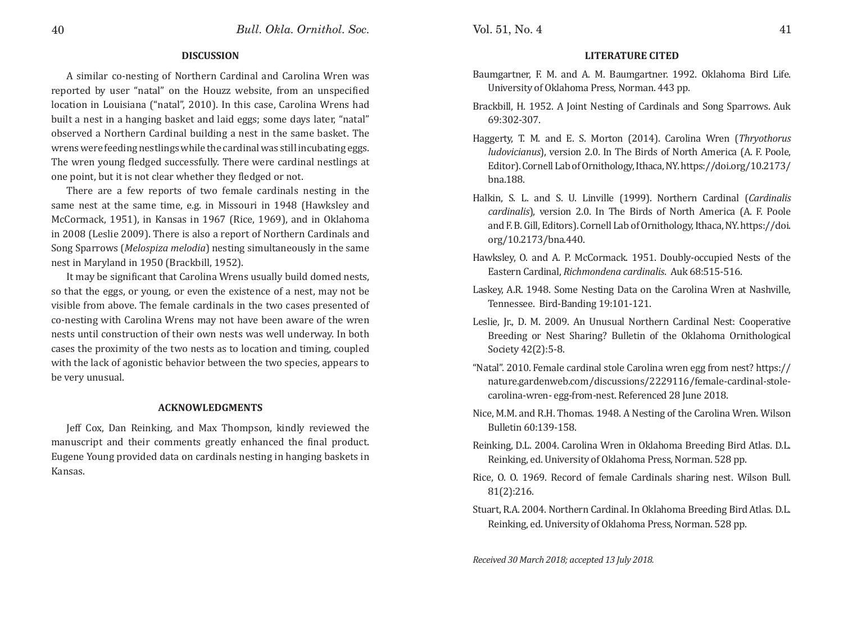### **DISCUSSION**

A similar co-nesting of Northern Cardinal and Carolina Wren was reported by user "natal" on the Houzz website, from an unspecified location in Louisiana ("natal", 2010). In this case, Carolina Wrens had built a nest in a hanging basket and laid eggs; some days later, "natal" observed a Northern Cardinal building a nest in the same basket. The wrens were feeding nestlings while the cardinal was still incubating eggs. The wren young fledged successfully. There were cardinal nestlings at one point, but it is not clear whether they fledged or not.

There are a few reports of two female cardinals nesting in the same nest at the same time, e.g. in Missouri in 1948 (Hawksley and McCormack, 1951), in Kansas in 1967 (Rice, 1969), and in Oklahoma in 2008 (Leslie 2009). There is also a report of Northern Cardinals and Song Sparrows (*Melospiza melodia*) nesting simultaneously in the same nest in Maryland in 1950 (Brackbill, 1952).

It may be significant that Carolina Wrens usually build domed nests, so that the eggs, or young, or even the existence of a nest, may not be visible from above. The female cardinals in the two cases presented of co-nesting with Carolina Wrens may not have been aware of the wren nests until construction of their own nests was well underway. In both cases the proximity of the two nests as to location and timing, coupled with the lack of agonistic behavior between the two species, appears to be very unusual.

### **ACKNOWLEDGMENTS**

Jeff Cox, Dan Reinking, and Max Thompson, kindly reviewed the manuscript and their comments greatly enhanced the final product. Eugene Young provided data on cardinals nesting in hanging baskets in Kansas.

## **LITERATURE CITED**

- Baumgartner, F. M. and A. M. Baumgartner. 1992. Oklahoma Bird Life. University of Oklahoma Press, Norman. 443 pp.
- Brackbill, H. 1952. A Joint Nesting of Cardinals and Song Sparrows. Auk 69:302-307.
- Haggerty, T. M. and E. S. Morton (2014). Carolina Wren (*Thryothorus ludovicianus*), version 2.0. In The Birds of North America (A. F. Poole, Editor). Cornell Lab of Ornithology, Ithaca, NY. https://doi.org/10.2173/ bna.188.
- Halkin, S. L. and S. U. Linville (1999). Northern Cardinal (*Cardinalis cardinalis*), version 2.0. In The Birds of North America (A. F. Poole and F. B. Gill, Editors). Cornell Lab of Ornithology, Ithaca, NY. https://doi. org/10.2173/bna.440.
- Hawksley, O. and A. P. McCormack. 1951. Doubly-occupied Nests of the Eastern Cardinal, *Richmondena cardinalis*. Auk 68:515-516.
- Laskey, A.R. 1948. Some Nesting Data on the Carolina Wren at Nashville, Tennessee. Bird-Banding 19:101-121.
- Leslie, Jr., D. M. 2009. An Unusual Northern Cardinal Nest: Cooperative Breeding or Nest Sharing? Bulletin of the Oklahoma Ornithological Society 42(2):5-8.
- "Natal". 2010. Female cardinal stole Carolina wren egg from nest? https:// nature.gardenweb.com/discussions/2229116/female-cardinal-stolecarolina-wren- egg-from-nest. Referenced 28 June 2018.
- Nice, M.M. and R.H. Thomas. 1948. A Nesting of the Carolina Wren. Wilson Bulletin 60:139-158.
- Reinking, D.L. 2004. Carolina Wren in Oklahoma Breeding Bird Atlas. D.L. Reinking, ed. University of Oklahoma Press, Norman. 528 pp.
- Rice, O. O. 1969. Record of female Cardinals sharing nest. Wilson Bull. 81(2):216.
- Stuart, R.A. 2004. Northern Cardinal. In Oklahoma Breeding Bird Atlas. D.L. Reinking, ed. University of Oklahoma Press, Norman. 528 pp.

*Received 30 March 2018; accepted 13 July 2018.*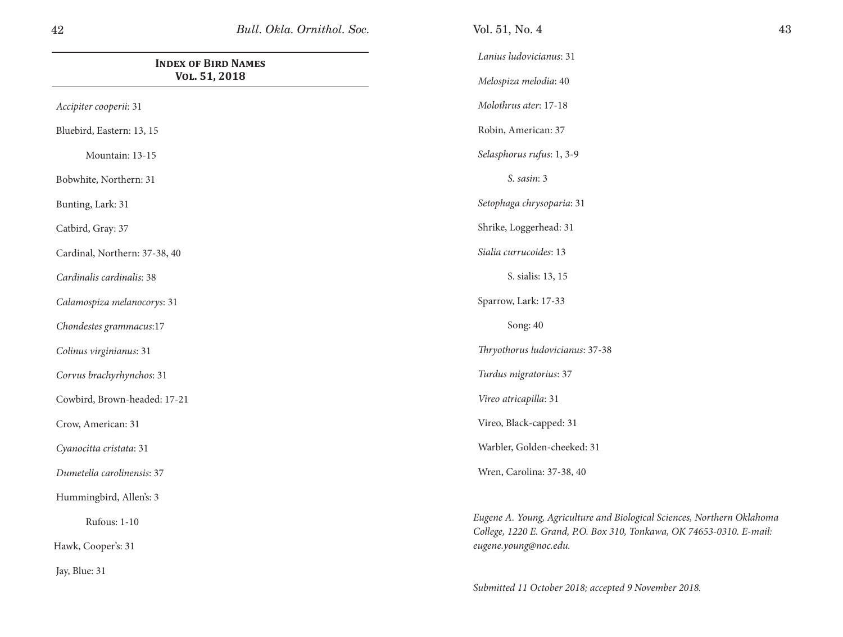| <b>INDEX OF BIRD NAMES</b><br>VOL. 51, 2018 | La<br>$M_{0}$  |
|---------------------------------------------|----------------|
| Accipiter cooperii: 31                      | $M_{0}$        |
| Bluebird, Eastern: 13, 15                   | Rc             |
| Mountain: 13-15                             | Sei            |
| Bobwhite, Northern: 31                      |                |
| Bunting, Lark: 31                           | Sei            |
| Catbird, Gray: 37                           | Sh             |
| Cardinal, Northern: 37-38, 40               | Sic            |
| Cardinalis cardinalis: 38                   |                |
| Calamospiza melanocorys: 31                 | Sp             |
| Chondestes grammacus:17                     |                |
| Colinus virginianus: 31                     | Th             |
| Corvus brachyrhynchos: 31                   | Tu             |
| Cowbird, Brown-headed: 17-21                | Vi             |
| Crow, American: 31                          | V <sub>i</sub> |
| Cyanocitta cristata: 31                     | W:             |
| Dumetella carolinensis: 37                  | W <sub>1</sub> |
| Hummingbird, Allen's: 3                     |                |
| <b>Rufous: 1-10</b>                         | Eug<br>Cal     |

Hawk, Cooper's: 31

Jay, Blue: 31

*Lanius ludovicianus*: 31

*Melospiza melodia*: 40

*Molothrus ater*: 17-18

bin, American: 37

*Selasphorus rufus*: 1, 3-9

*S. sasin*: 3

*Setophaga chrysoparia*: 31

rike, Loggerhead: 31

*Sialia currucoides*: 13

S. sialis: 13, 15

arrow, Lark: 17-33

Song: 40

*Thryothorus ludovicianus*: 37-38

*Turdus migratorius*: 37

*Vireo atricapilla*: 31

reo, Black-capped: 31

Warbler, Golden-cheeked: 31

ren, Carolina: 37-38, 40

*Eugene A. Young, Agriculture and Biological Sciences, Northern Oklahoma College, 1220 E. Grand, P.O. Box 310, Tonkawa, OK 74653-0310. E-mail: eugene.young@noc.edu.*

*Submitted 11 October 2018; accepted 9 November 2018.*